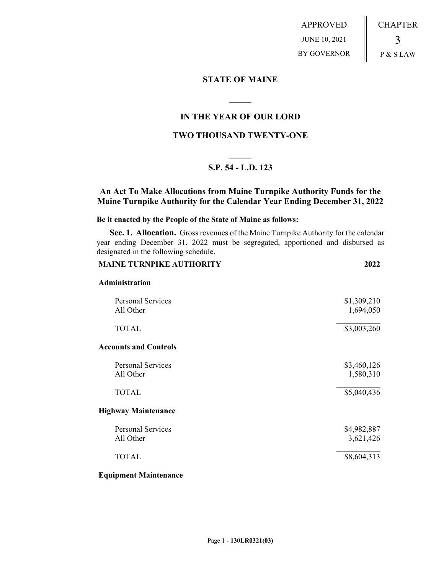APPROVED JUNE 10, 2021 BY GOVERNOR CHAPTER 3 P & S LAW

## **STATE OF MAINE**

## **IN THE YEAR OF OUR LORD**

**\_\_\_\_\_**

## **TWO THOUSAND TWENTY-ONE**

# **\_\_\_\_\_ S.P. 54 - L.D. 123**

## **An Act To Make Allocations from Maine Turnpike Authority Funds for the Maine Turnpike Authority for the Calendar Year Ending December 31, 2022**

### **Be it enacted by the People of the State of Maine as follows:**

**Sec. 1. Allocation.** Gross revenues of the Maine Turnpike Authority for the calendar year ending December 31, 2022 must be segregated, apportioned and disbursed as designated in the following schedule.

| <b>MAINE TURNPIKE AUTHORITY</b>       | 2022                     |
|---------------------------------------|--------------------------|
| Administration                        |                          |
| <b>Personal Services</b><br>All Other | \$1,309,210<br>1,694,050 |
| <b>TOTAL</b>                          | \$3,003,260              |
| <b>Accounts and Controls</b>          |                          |
| <b>Personal Services</b><br>All Other | \$3,460,126<br>1,580,310 |
| <b>TOTAL</b>                          | \$5,040,436              |
| <b>Highway Maintenance</b>            |                          |
| <b>Personal Services</b><br>All Other | \$4,982,887<br>3,621,426 |
| <b>TOTAL</b>                          | \$8,604,313              |
| <b>Equipment Maintenance</b>          |                          |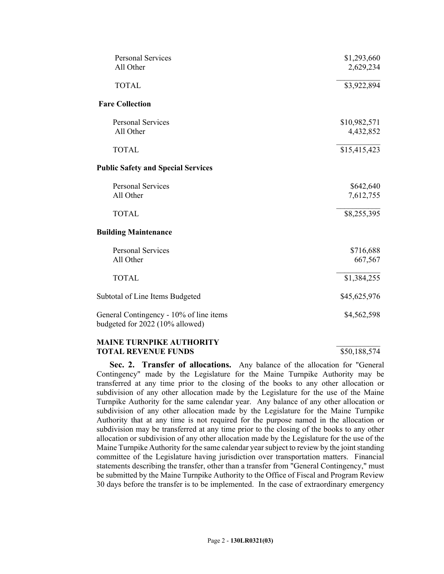| <b>Personal Services</b><br>All Other                                      | \$1,293,660<br>2,629,234  |
|----------------------------------------------------------------------------|---------------------------|
| <b>TOTAL</b>                                                               | \$3,922,894               |
| <b>Fare Collection</b>                                                     |                           |
| <b>Personal Services</b><br>All Other                                      | \$10,982,571<br>4,432,852 |
| <b>TOTAL</b>                                                               | \$15,415,423              |
| <b>Public Safety and Special Services</b>                                  |                           |
| <b>Personal Services</b><br>All Other                                      | \$642,640<br>7,612,755    |
| <b>TOTAL</b>                                                               | \$8,255,395               |
| <b>Building Maintenance</b>                                                |                           |
| <b>Personal Services</b><br>All Other                                      | \$716,688<br>667,567      |
| <b>TOTAL</b>                                                               | \$1,384,255               |
| Subtotal of Line Items Budgeted                                            | \$45,625,976              |
| General Contingency - 10% of line items<br>budgeted for 2022 (10% allowed) | \$4,562,598               |
| MAINE THDNDILE AHTUADITV                                                   |                           |

#### **MAINE TURNPIKE AUTHORITY**<br> **TOTAL REVENUE FUNDS** 550,188,574 **TOTAL REVENUE FUNDS**

**Sec. 2. Transfer of allocations.** Any balance of the allocation for "General Contingency" made by the Legislature for the Maine Turnpike Authority may be transferred at any time prior to the closing of the books to any other allocation or subdivision of any other allocation made by the Legislature for the use of the Maine Turnpike Authority for the same calendar year. Any balance of any other allocation or subdivision of any other allocation made by the Legislature for the Maine Turnpike Authority that at any time is not required for the purpose named in the allocation or subdivision may be transferred at any time prior to the closing of the books to any other allocation or subdivision of any other allocation made by the Legislature for the use of the Maine Turnpike Authority for the same calendar year subject to review by the joint standing committee of the Legislature having jurisdiction over transportation matters. Financial statements describing the transfer, other than a transfer from "General Contingency," must be submitted by the Maine Turnpike Authority to the Office of Fiscal and Program Review 30 days before the transfer is to be implemented. In the case of extraordinary emergency